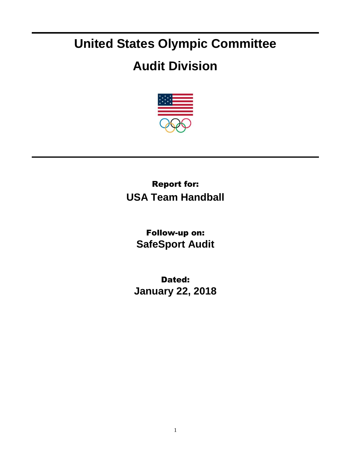## **United States Olympic Committee**

## **Audit Division**



## Report for: **USA Team Handball**

Follow-up on: **SafeSport Audit**

Dated: **January 22, 2018**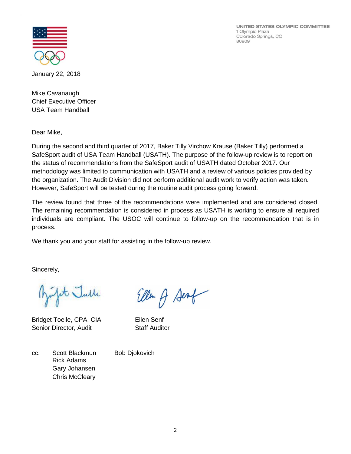UNITED STATES OLYMPIC COMMITTEE 1 Olympic Plaza Colorado Springs, CO 80909



January 22, 2018

Mike Cavanaugh Chief Executive Officer USA Team Handball

Dear Mike,

During the second and third quarter of 2017, Baker Tilly Virchow Krause (Baker Tilly) performed a SafeSport audit of USA Team Handball (USATH). The purpose of the follow-up review is to report on the status of recommendations from the SafeSport audit of USATH dated October 2017. Our methodology was limited to communication with USATH and a review of various policies provided by the organization. The Audit Division did not perform additional audit work to verify action was taken. However, SafeSport will be tested during the routine audit process going forward.

The review found that three of the recommendations were implemented and are considered closed. The remaining recommendation is considered in process as USATH is working to ensure all required individuals are compliant. The USOC will continue to follow-up on the recommendation that is in process.

We thank you and your staff for assisting in the follow-up review.

Sincerely,

it Julle

Bridget Toelle, CPA, CIA Ellen Senf Senior Director, Audit Staff Auditor

Ellen A Senf

cc: Scott Blackmun Bob Djokovich Rick Adams Gary Johansen Chris McCleary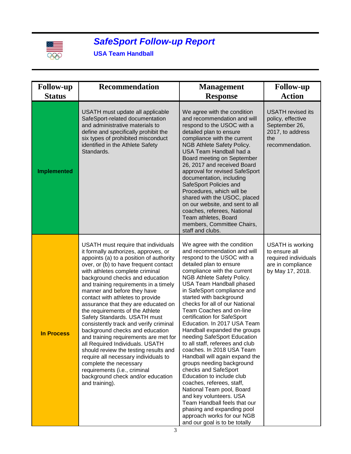

## *SafeSport Follow-up Report*

**USA Team Handball**

| <b>Follow-up</b>   | <b>Recommendation</b>                                                                                                                                                                                                                                                                                                                                                                                                                                                                                                                                                                                                                                                                                                                                                                                                  | <b>Management</b>                                                                                                                                                                                                                                                                                                                                                                                                                                                                                                                                                                                                                                                                                                                                                                                                                                                       | <b>Follow-up</b>                                                                                      |
|--------------------|------------------------------------------------------------------------------------------------------------------------------------------------------------------------------------------------------------------------------------------------------------------------------------------------------------------------------------------------------------------------------------------------------------------------------------------------------------------------------------------------------------------------------------------------------------------------------------------------------------------------------------------------------------------------------------------------------------------------------------------------------------------------------------------------------------------------|-------------------------------------------------------------------------------------------------------------------------------------------------------------------------------------------------------------------------------------------------------------------------------------------------------------------------------------------------------------------------------------------------------------------------------------------------------------------------------------------------------------------------------------------------------------------------------------------------------------------------------------------------------------------------------------------------------------------------------------------------------------------------------------------------------------------------------------------------------------------------|-------------------------------------------------------------------------------------------------------|
| <b>Status</b>      |                                                                                                                                                                                                                                                                                                                                                                                                                                                                                                                                                                                                                                                                                                                                                                                                                        | <b>Response</b>                                                                                                                                                                                                                                                                                                                                                                                                                                                                                                                                                                                                                                                                                                                                                                                                                                                         | <b>Action</b>                                                                                         |
| <b>Implemented</b> | USATH must update all applicable<br>SafeSport-related documentation<br>and administrative materials to<br>define and specifically prohibit the<br>six types of prohibited misconduct<br>identified in the Athlete Safety<br>Standards.                                                                                                                                                                                                                                                                                                                                                                                                                                                                                                                                                                                 | We agree with the condition<br>and recommendation and will<br>respond to the USOC with a<br>detailed plan to ensure<br>compliance with the current<br>NGB Athlete Safety Policy.<br>USA Team Handball had a<br>Board meeting on September<br>26, 2017 and received Board<br>approval for revised SafeSport<br>documentation, including<br>SafeSport Policies and<br>Procedures, which will be<br>shared with the USOC, placed<br>on our website, and sent to all<br>coaches, referees, National<br>Team athletes, Board<br>members, Committee Chairs,<br>staff and clubs.                                                                                                                                                                                                                                                                                               | USATH revised its<br>policy, effective<br>September 26,<br>2017, to address<br>the<br>recommendation. |
| <b>In Process</b>  | USATH must require that individuals<br>it formally authorizes, approves, or<br>appoints (a) to a position of authority<br>over, or (b) to have frequent contact<br>with athletes complete criminal<br>background checks and education<br>and training requirements in a timely<br>manner and before they have<br>contact with athletes to provide<br>assurance that they are educated on<br>the requirements of the Athlete<br>Safety Standards. USATH must<br>consistently track and verify criminal<br>background checks and education<br>and training requirements are met for<br>all Required Individuals. USATH<br>should review the testing results and<br>require all necessary individuals to<br>complete the necessary<br>requirements (i.e., criminal<br>background check and/or education<br>and training). | We agree with the condition<br>and recommendation and will<br>respond to the USOC with a<br>detailed plan to ensure<br>compliance with the current<br>NGB Athlete Safety Policy.<br>USA Team Handball phased<br>in SafeSport compliance and<br>started with background<br>checks for all of our National<br>Team Coaches and on-line<br>certification for SafeSport<br>Education. In 2017 USA Team<br>Handball expanded the groups<br>needing SafeSport Education<br>to all staff, referees and club<br>coaches. In 2018 USA Team<br>Handball will again expand the<br>groups needing background<br>checks and SafeSport<br>Education to include club<br>coaches, referees, staff,<br>National Team pool, Board<br>and key volunteers. USA<br>Team Handball feels that our<br>phasing and expanding pool<br>approach works for our NGB<br>and our goal is to be totally | USATH is working<br>to ensure all<br>required individuals<br>are in compliance<br>by May 17, 2018.    |